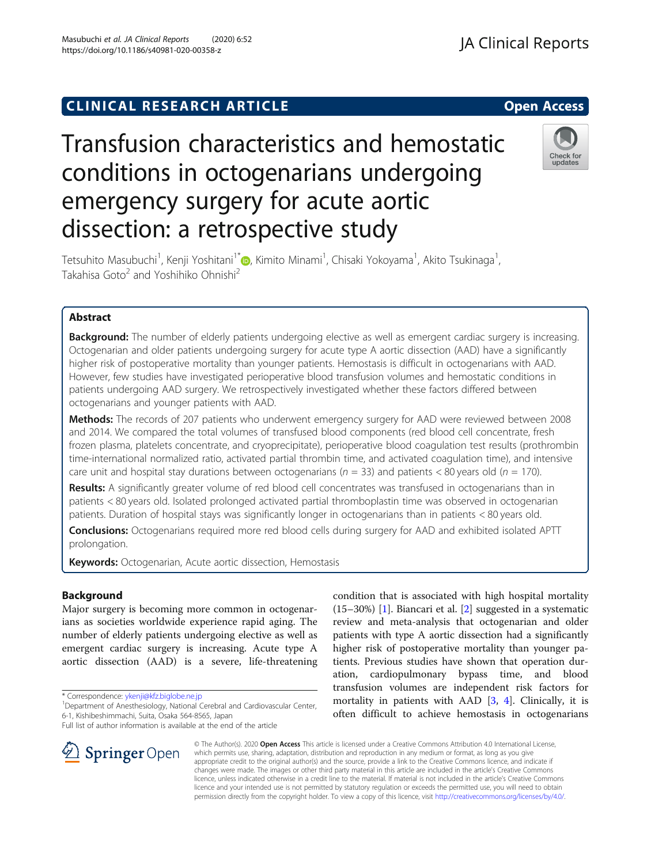## **CLINICAL RESEARCH ARTICLE CLINICAL RESEARCH ARTICLE**

# Transfusion characteristics and hemostatic conditions in octogenarians undergoing emergency surgery for acute aortic dissection: a retrospective study

Tetsuhito Masubuchi<sup>1</sup>, Kenji Yoshitani<sup>1[\\*](http://orcid.org/0000-0002-9161-0028)</sup>@, Kimito Minami<sup>1</sup>, Chisaki Yokoyama<sup>1</sup>, Akito Tsukinaga<sup>1</sup> Takahisa Goto<sup>2</sup> and Yoshihiko Ohnishi<sup>2</sup>

## Abstract

Background: The number of elderly patients undergoing elective as well as emergent cardiac surgery is increasing. Octogenarian and older patients undergoing surgery for acute type A aortic dissection (AAD) have a significantly higher risk of postoperative mortality than younger patients. Hemostasis is difficult in octogenarians with AAD. However, few studies have investigated perioperative blood transfusion volumes and hemostatic conditions in patients undergoing AAD surgery. We retrospectively investigated whether these factors differed between octogenarians and younger patients with AAD.

Methods: The records of 207 patients who underwent emergency surgery for AAD were reviewed between 2008 and 2014. We compared the total volumes of transfused blood components (red blood cell concentrate, fresh frozen plasma, platelets concentrate, and cryoprecipitate), perioperative blood coagulation test results (prothrombin time-international normalized ratio, activated partial thrombin time, and activated coagulation time), and intensive care unit and hospital stay durations between octogenarians ( $n = 33$ ) and patients < 80 years old ( $n = 170$ ).

Results: A significantly greater volume of red blood cell concentrates was transfused in octogenarians than in patients < 80 years old. Isolated prolonged activated partial thromboplastin time was observed in octogenarian patients. Duration of hospital stays was significantly longer in octogenarians than in patients < 80 years old.

Conclusions: Octogenarians required more red blood cells during surgery for AAD and exhibited isolated APTT prolongation.

Keywords: Octogenarian, Acute aortic dissection, Hemostasis

### Background

Major surgery is becoming more common in octogenarians as societies worldwide experience rapid aging. The number of elderly patients undergoing elective as well as emergent cardiac surgery is increasing. Acute type A aortic dissection (AAD) is a severe, life-threatening

\* Correspondence: [ykenji@kfz.biglobe.ne.jp](mailto:ykenji@kfz.biglobe.ne.jp) <sup>1</sup>

Full list of author information is available at the end of the article

condition that is associated with high hospital mortality (15–30%) [[1\]](#page-4-0). Biancari et al. [[2\]](#page-4-0) suggested in a systematic review and meta-analysis that octogenarian and older patients with type A aortic dissection had a significantly higher risk of postoperative mortality than younger patients. Previous studies have shown that operation duration, cardiopulmonary bypass time, and blood transfusion volumes are independent risk factors for mortality in patients with AAD  $[3, 4]$  $[3, 4]$  $[3, 4]$  $[3, 4]$ . Clinically, it is often difficult to achieve hemostasis in octogenarians

© The Author(s). 2020 Open Access This article is licensed under a Creative Commons Attribution 4.0 International License, which permits use, sharing, adaptation, distribution and reproduction in any medium or format, as long as you give appropriate credit to the original author(s) and the source, provide a link to the Creative Commons licence, and indicate if changes were made. The images or other third party material in this article are included in the article's Creative Commons licence, unless indicated otherwise in a credit line to the material. If material is not included in the article's Creative Commons licence and your intended use is not permitted by statutory regulation or exceeds the permitted use, you will need to obtain permission directly from the copyright holder. To view a copy of this licence, visit <http://creativecommons.org/licenses/by/4.0/>.



,







<sup>&</sup>lt;sup>1</sup>Department of Anesthesiology, National Cerebral and Cardiovascular Center, 6-1, Kishibeshimmachi, Suita, Osaka 564-8565, Japan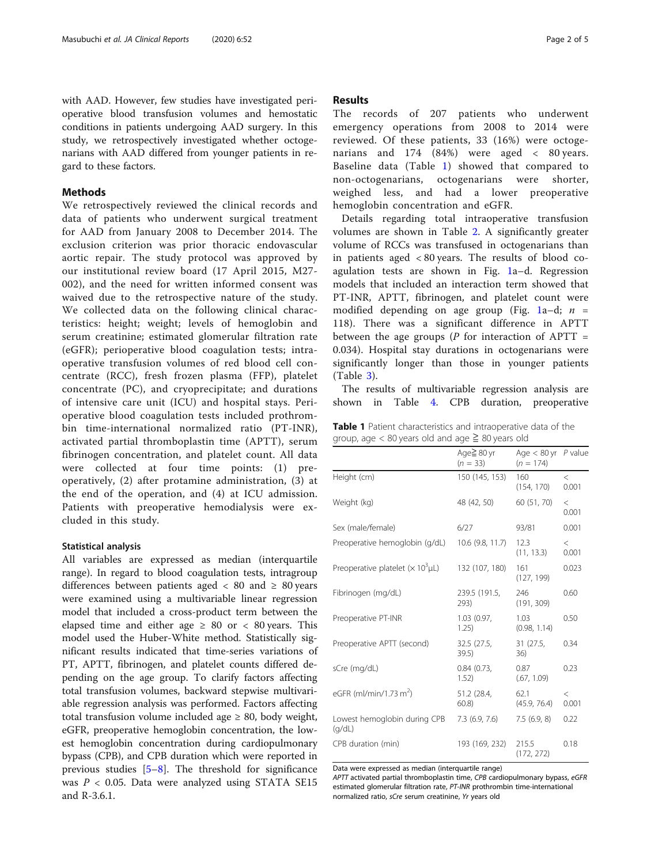with AAD. However, few studies have investigated perioperative blood transfusion volumes and hemostatic conditions in patients undergoing AAD surgery. In this study, we retrospectively investigated whether octogenarians with AAD differed from younger patients in regard to these factors.

#### Methods

We retrospectively reviewed the clinical records and data of patients who underwent surgical treatment for AAD from January 2008 to December 2014. The exclusion criterion was prior thoracic endovascular aortic repair. The study protocol was approved by our institutional review board (17 April 2015, M27- 002), and the need for written informed consent was waived due to the retrospective nature of the study. We collected data on the following clinical characteristics: height; weight; levels of hemoglobin and serum creatinine; estimated glomerular filtration rate (eGFR); perioperative blood coagulation tests; intraoperative transfusion volumes of red blood cell concentrate (RCC), fresh frozen plasma (FFP), platelet concentrate (PC), and cryoprecipitate; and durations of intensive care unit (ICU) and hospital stays. Perioperative blood coagulation tests included prothrombin time-international normalized ratio (PT-INR), activated partial thromboplastin time (APTT), serum fibrinogen concentration, and platelet count. All data were collected at four time points: (1) preoperatively, (2) after protamine administration, (3) at the end of the operation, and (4) at ICU admission. Patients with preoperative hemodialysis were excluded in this study.

#### Statistical analysis

All variables are expressed as median (interquartile range). In regard to blood coagulation tests, intragroup differences between patients aged  $\langle 80 \rangle$  and  $\geq 80$  years were examined using a multivariable linear regression model that included a cross-product term between the elapsed time and either age  $\geq 80$  or  $\lt 80$  years. This model used the Huber-White method. Statistically significant results indicated that time-series variations of PT, APTT, fibrinogen, and platelet counts differed depending on the age group. To clarify factors affecting total transfusion volumes, backward stepwise multivariable regression analysis was performed. Factors affecting total transfusion volume included age  $\geq 80$ , body weight, eGFR, preoperative hemoglobin concentration, the lowest hemoglobin concentration during cardiopulmonary bypass (CPB), and CPB duration which were reported in previous studies [[5](#page-4-0)–[8](#page-4-0)]. The threshold for significance was  $P < 0.05$ . Data were analyzed using STATA SE15 and R-3.6.1.

#### Results

The records of 207 patients who underwent emergency operations from 2008 to 2014 were reviewed. Of these patients, 33 (16%) were octogenarians and 174 (84%) were aged < 80 years. Baseline data (Table 1) showed that compared to non-octogenarians, octogenarians were shorter, weighed less, and had a lower preoperative hemoglobin concentration and eGFR.

Details regarding total intraoperative transfusion volumes are shown in Table [2](#page-2-0). A significantly greater volume of RCCs was transfused in octogenarians than in patients aged < 80 years. The results of blood coagulation tests are shown in Fig. [1](#page-2-0)a–d. Regression models that included an interaction term showed that PT-INR, APTT, fibrinogen, and platelet count were modified depending on age group (Fig. [1](#page-2-0)a-d;  $n =$ 118). There was a significant difference in APTT between the age groups ( $P$  for interaction of APTT = 0.034). Hospital stay durations in octogenarians were significantly longer than those in younger patients (Table [3](#page-3-0)).

The results of multivariable regression analysis are shown in Table [4.](#page-3-0) CPB duration, preoperative

Table 1 Patient characteristics and intraoperative data of the group, age  $< 80$  years old and age  $\geq 80$  years old

|                                                      | Age≧ 80 yr<br>$(n = 33)$ | Age $< 80$ yr $P$ value<br>$(n = 174)$ |                |
|------------------------------------------------------|--------------------------|----------------------------------------|----------------|
| Height (cm)                                          | 150 (145, 153)           | 160<br>(154, 170)                      | $\lt$<br>0.001 |
| Weight (kg)                                          | 48 (42, 50)              | 60 (51, 70)                            | $\lt$<br>0.001 |
| Sex (male/female)                                    | 6/27                     | 93/81                                  | 0.001          |
| Preoperative hemoglobin (g/dL)                       | 10.6 (9.8, 11.7)         | 12.3<br>(11, 13.3)                     | $\lt$<br>0.001 |
| Preoperative platelet ( $\times$ 10 <sup>3</sup> µL) | 132 (107, 180)           | 161<br>(127, 199)                      | 0.023          |
| Fibrinogen (mg/dL)                                   | 239.5 (191.5,<br>293)    | 246<br>(191, 309)                      | 0.60           |
| Preoperative PT-INR                                  | 1.03(0.97,<br>1.25)      | 1.03<br>(0.98, 1.14)                   | 0.50           |
| Preoperative APTT (second)                           | 32.5 (27.5,<br>39.5)     | 31 (27.5,<br>36)                       | 0.34           |
| sCre (mg/dL)                                         | 0.84(0.73,<br>1.52)      | 0.87<br>(.67, 1.09)                    | 0.23           |
| eGFR (ml/min/1.73 m <sup>2</sup> )                   | 51.2 (28.4,<br>$60.8$ )  | 62.1<br>(45.9, 76.4)                   | $\lt$<br>0.001 |
| Lowest hemoglobin during CPB<br>(q/dL)               | 7.3(6.9, 7.6)            | 7.5(6.9, 8)                            | 0.22           |
| CPB duration (min)                                   | 193 (169, 232)           | 215.5<br>(172, 272)                    | 0.18           |

Data were expressed as median (interquartile range)

APTT activated partial thromboplastin time, CPB cardiopulmonary bypass, eGFR estimated glomerular filtration rate, PT-INR prothrombin time-international normalized ratio, sCre serum creatinine, Yr years old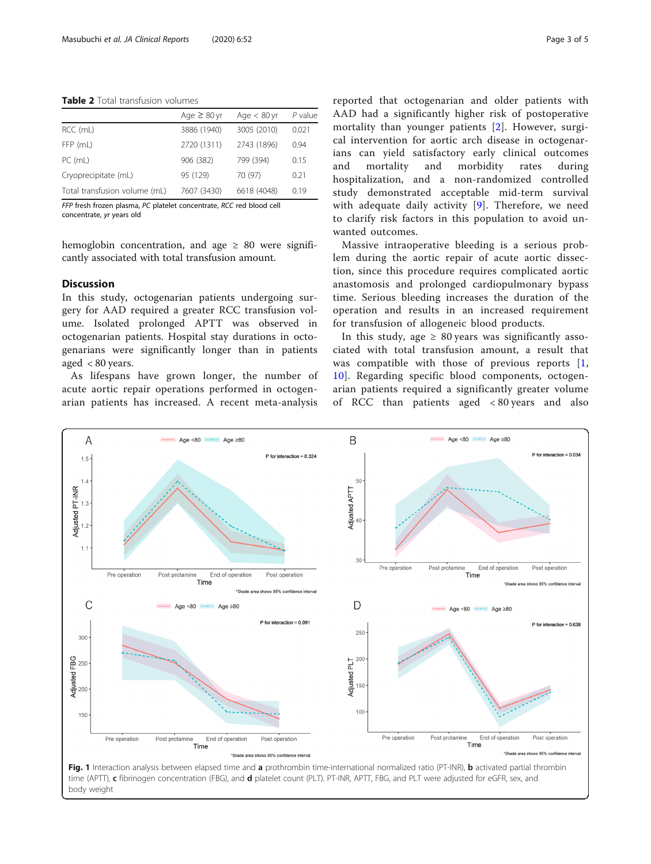#### <span id="page-2-0"></span>Table 2 Total transfusion volumes

|                               | Age $\geq 80$ yr | Age $< 80$ yr | $P$ value |
|-------------------------------|------------------|---------------|-----------|
| RCC (mL)                      | 3886 (1940)      | 3005 (2010)   | 0.021     |
| FFP (mL)                      | 2720 (1311)      | 2743 (1896)   | 0.94      |
| PC (mL)                       | 906 (382)        | 799 (394)     | 0.15      |
| Cryoprecipitate (mL)          | 95 (129)         | 70 (97)       | 0.21      |
| Total transfusion volume (mL) | 7607 (3430)      | 6618 (4048)   | 0.19      |

FFP fresh frozen plasma, PC platelet concentrate, RCC red blood cell concentrate, yr years old

hemoglobin concentration, and age  $\geq 80$  were significantly associated with total transfusion amount.

#### **Discussion**

In this study, octogenarian patients undergoing surgery for AAD required a greater RCC transfusion volume. Isolated prolonged APTT was observed in octogenarian patients. Hospital stay durations in octogenarians were significantly longer than in patients aged < 80 years.

As lifespans have grown longer, the number of acute aortic repair operations performed in octogenarian patients has increased. A recent meta-analysis

reported that octogenarian and older patients with AAD had a significantly higher risk of postoperative mortality than younger patients [\[2](#page-4-0)]. However, surgical intervention for aortic arch disease in octogenarians can yield satisfactory early clinical outcomes and mortality and morbidity rates during hospitalization, and a non-randomized controlled study demonstrated acceptable mid-term survival with adequate daily activity [[9](#page-4-0)]. Therefore, we need to clarify risk factors in this population to avoid unwanted outcomes.

Massive intraoperative bleeding is a serious problem during the aortic repair of acute aortic dissection, since this procedure requires complicated aortic anastomosis and prolonged cardiopulmonary bypass time. Serious bleeding increases the duration of the operation and results in an increased requirement for transfusion of allogeneic blood products.

In this study, age  $\geq 80$  years was significantly associated with total transfusion amount, a result that was compatible with those of previous reports [\[1](#page-4-0), [10\]](#page-4-0). Regarding specific blood components, octogenarian patients required a significantly greater volume of RCC than patients aged < 80 years and also



body weight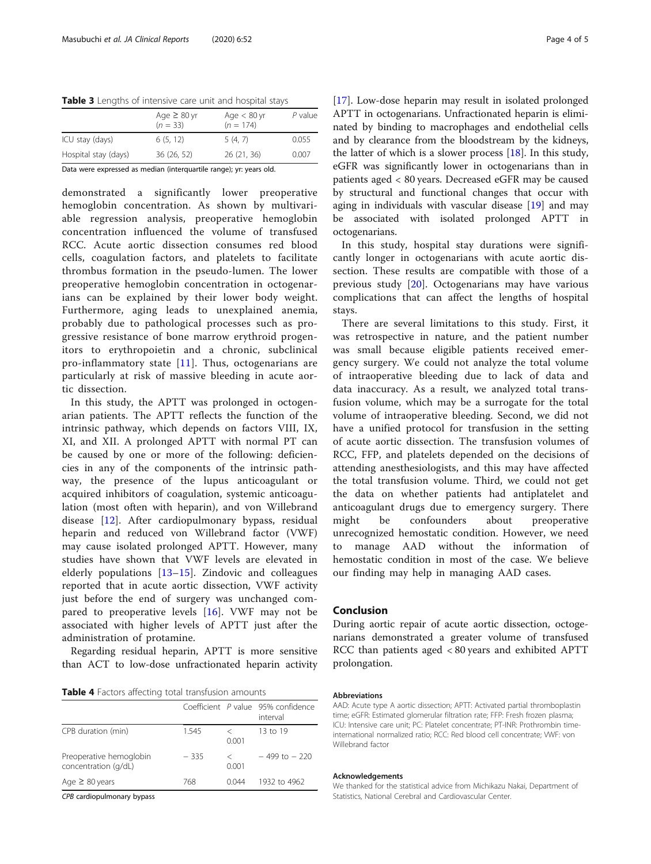<span id="page-3-0"></span>Table 3 Lengths of intensive care unit and hospital stays

|                      | Age $\geq 80$ yr<br>$(n = 33)$ | Age $< 80$ yr<br>$(n = 174)$ | P value |
|----------------------|--------------------------------|------------------------------|---------|
| ICU stay (days)      | 6(5, 12)                       | 5(4, 7)                      | 0.055   |
| Hospital stay (days) | 36(26, 52)                     | 26(21, 36)                   | 0.007   |
|                      |                                |                              |         |

Data were expressed as median (interquartile range); yr: years old.

demonstrated a significantly lower preoperative hemoglobin concentration. As shown by multivariable regression analysis, preoperative hemoglobin concentration influenced the volume of transfused RCC. Acute aortic dissection consumes red blood cells, coagulation factors, and platelets to facilitate thrombus formation in the pseudo-lumen. The lower preoperative hemoglobin concentration in octogenarians can be explained by their lower body weight. Furthermore, aging leads to unexplained anemia, probably due to pathological processes such as progressive resistance of bone marrow erythroid progenitors to erythropoietin and a chronic, subclinical pro-inflammatory state [[11\]](#page-4-0). Thus, octogenarians are particularly at risk of massive bleeding in acute aortic dissection.

In this study, the APTT was prolonged in octogenarian patients. The APTT reflects the function of the intrinsic pathway, which depends on factors VIII, IX, XI, and XII. A prolonged APTT with normal PT can be caused by one or more of the following: deficiencies in any of the components of the intrinsic pathway, the presence of the lupus anticoagulant or acquired inhibitors of coagulation, systemic anticoagulation (most often with heparin), and von Willebrand disease [\[12](#page-4-0)]. After cardiopulmonary bypass, residual heparin and reduced von Willebrand factor (VWF) may cause isolated prolonged APTT. However, many studies have shown that VWF levels are elevated in elderly populations [[13](#page-4-0)–[15\]](#page-4-0). Zindovic and colleagues reported that in acute aortic dissection, VWF activity just before the end of surgery was unchanged compared to preoperative levels [\[16](#page-4-0)]. VWF may not be associated with higher levels of APTT just after the administration of protamine.

Regarding residual heparin, APTT is more sensitive than ACT to low-dose unfractionated heparin activity

| Table 4 Factors affecting total transfusion amounts |  |  |
|-----------------------------------------------------|--|--|
|-----------------------------------------------------|--|--|

|                                                 |        |                  | Coefficient P value 95% confidence<br>interval |
|-------------------------------------------------|--------|------------------|------------------------------------------------|
| CPB duration (min)                              | 1.545  | 0.001            | 13 to 19                                       |
| Preoperative hemoglobin<br>concentration (g/dL) | $-335$ | $\,<\,$<br>0.001 | $-499$ to $-220$                               |
| Age $\geq 80$ years                             | 768    | 0.044            | 1932 to 4962                                   |
|                                                 |        |                  |                                                |

CPB cardiopulmonary bypass

[[17\]](#page-4-0). Low-dose heparin may result in isolated prolonged APTT in octogenarians. Unfractionated heparin is eliminated by binding to macrophages and endothelial cells and by clearance from the bloodstream by the kidneys, the latter of which is a slower process [[18\]](#page-4-0). In this study, eGFR was significantly lower in octogenarians than in patients aged < 80 years. Decreased eGFR may be caused by structural and functional changes that occur with aging in individuals with vascular disease [\[19](#page-4-0)] and may be associated with isolated prolonged APTT in octogenarians.

In this study, hospital stay durations were significantly longer in octogenarians with acute aortic dissection. These results are compatible with those of a previous study [[20\]](#page-4-0). Octogenarians may have various complications that can affect the lengths of hospital stays.

There are several limitations to this study. First, it was retrospective in nature, and the patient number was small because eligible patients received emergency surgery. We could not analyze the total volume of intraoperative bleeding due to lack of data and data inaccuracy. As a result, we analyzed total transfusion volume, which may be a surrogate for the total volume of intraoperative bleeding. Second, we did not have a unified protocol for transfusion in the setting of acute aortic dissection. The transfusion volumes of RCC, FFP, and platelets depended on the decisions of attending anesthesiologists, and this may have affected the total transfusion volume. Third, we could not get the data on whether patients had antiplatelet and anticoagulant drugs due to emergency surgery. There might be confounders about preoperative unrecognized hemostatic condition. However, we need to manage AAD without the information of hemostatic condition in most of the case. We believe our finding may help in managing AAD cases.

## Conclusion

During aortic repair of acute aortic dissection, octogenarians demonstrated a greater volume of transfused RCC than patients aged < 80 years and exhibited APTT prolongation.

#### Abbreviations

AAD: Acute type A aortic dissection; APTT: Activated partial thromboplastin time; eGFR: Estimated glomerular filtration rate; FFP: Fresh frozen plasma; ICU: Intensive care unit; PC: Platelet concentrate; PT-INR: Prothrombin timeinternational normalized ratio; RCC: Red blood cell concentrate; VWF: von Willebrand factor

#### Acknowledgements

We thanked for the statistical advice from Michikazu Nakai, Department of Statistics, National Cerebral and Cardiovascular Center.